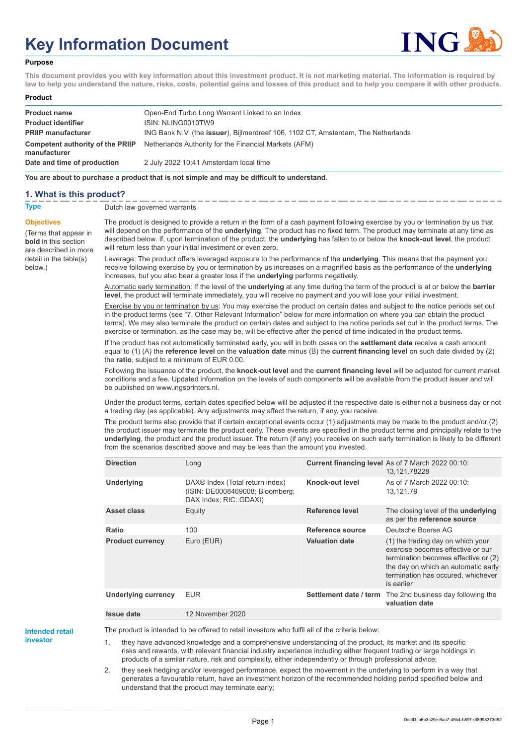# **Key Information Document**



#### **Purpose**

**This document provides you with key information about this investment product. It is not marketing material. The information is required by law to help you understand the nature, risks, costs, potential gains and losses of this product and to help you compare it with other products.**

#### **Product**

| <b>Product name</b>                              | Open-End Turbo Long Warrant Linked to an Index                                            |
|--------------------------------------------------|-------------------------------------------------------------------------------------------|
| <b>Product identifier</b>                        | ISIN: NLING0010TW9                                                                        |
| <b>PRIIP manufacturer</b>                        | ING Bank N.V. (the <b>issuer</b> ), Bijlmerdreef 106, 1102 CT, Amsterdam, The Netherlands |
| Competent authority of the PRIIP<br>manufacturer | Netherlands Authority for the Financial Markets (AFM)                                     |
| Date and time of production                      | 2 July 2022 10:41 Amsterdam local time                                                    |

**You are about to purchase a product that is not simple and may be difficult to understand.**

# **1. What is this product?**

below.)

#### **Type** Dutch law governed warrants

**Objectives** (Terms that appear in **bold** in this section are described in more detail in the table(s) The product is designed to provide a return in the form of a cash payment following exercise by you or termination by us that

will depend on the performance of the **underlying**. The product has no fixed term. The product may terminate at any time as described below. If, upon termination of the product, the **underlying** has fallen to or below the **knock-out level**, the product will return less than your initial investment or even zero.

Leverage: The product offers leveraged exposure to the performance of the **underlying**. This means that the payment you receive following exercise by you or termination by us increases on a magnified basis as the performance of the **underlying** increases, but you also bear a greater loss if the **underlying** performs negatively.

Automatic early termination: If the level of the **underlying** at any time during the term of the product is at or below the **barrier level**, the product will terminate immediately, you will receive no payment and you will lose your initial investment.

Exercise by you or termination by us: You may exercise the product on certain dates and subject to the notice periods set out in the product terms (see "7. Other Relevant Information" below for more information on where you can obtain the product terms). We may also terminate the product on certain dates and subject to the notice periods set out in the product terms. The exercise or termination, as the case may be, will be effective after the period of time indicated in the product terms.

If the product has not automatically terminated early, you will in both cases on the **settlement date** receive a cash amount equal to (1) (A) the **reference level** on the **valuation date** minus (B) the **current financing level** on such date divided by (2) the **ratio**, subject to a minimum of EUR 0.00.

Following the issuance of the product, the **knock-out level** and the **current financing level** will be adjusted for current market conditions and a fee. Updated information on the levels of such components will be available from the product issuer and will be published on www.ingsprinters.nl.

Under the product terms, certain dates specified below will be adjusted if the respective date is either not a business day or not a trading day (as applicable). Any adjustments may affect the return, if any, you receive.

The product terms also provide that if certain exceptional events occur (1) adjustments may be made to the product and/or (2) the product issuer may terminate the product early. These events are specified in the product terms and principally relate to the **underlying**, the product and the product issuer. The return (if any) you receive on such early termination is likely to be different from the scenarios described above and may be less than the amount you invested.

| <b>Direction</b>           | Long                                                                                         |                        | Current financing level As of 7 March 2022 00:10:<br>13,121.78228                                                                                                                                         |
|----------------------------|----------------------------------------------------------------------------------------------|------------------------|-----------------------------------------------------------------------------------------------------------------------------------------------------------------------------------------------------------|
| <b>Underlying</b>          | DAX® Index (Total return index)<br>(ISIN: DE0008469008; Bloomberg:<br>DAX Index; RIC: GDAXI) | Knock-out level        | As of 7 March 2022 00:10:<br>13,121.79                                                                                                                                                                    |
| <b>Asset class</b>         | Equity                                                                                       | Reference level        | The closing level of the <b>underlying</b><br>as per the reference source                                                                                                                                 |
| Ratio                      | 100                                                                                          | Reference source       | Deutsche Boerse AG                                                                                                                                                                                        |
| <b>Product currency</b>    | Euro (EUR)                                                                                   | <b>Valuation date</b>  | (1) the trading day on which your<br>exercise becomes effective or our<br>termination becomes effective or (2)<br>the day on which an automatic early<br>termination has occured, whichever<br>is earlier |
| <b>Underlying currency</b> | <b>EUR</b>                                                                                   | Settlement date / term | The 2nd business day following the<br>valuation date                                                                                                                                                      |
| <b>Issue date</b>          | 12 November 2020                                                                             |                        |                                                                                                                                                                                                           |

**Intended retail investor**

The product is intended to be offered to retail investors who fulfil all of the criteria below:

1. they have advanced knowledge and a comprehensive understanding of the product, its market and its specific risks and rewards, with relevant financial industry experience including either frequent trading or large holdings in products of a similar nature, risk and complexity, either independently or through professional advice;

2. they seek hedging and/or leveraged performance, expect the movement in the underlying to perform in a way that generates a favourable return, have an investment horizon of the recommended holding period specified below and understand that the product may terminate early;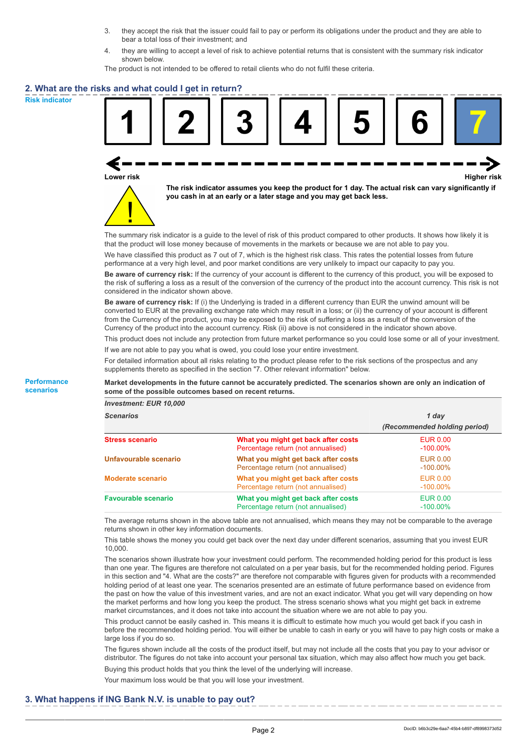- 3. they accept the risk that the issuer could fail to pay or perform its obligations under the product and they are able to bear a total loss of their investment; and
- 4. they are willing to accept a level of risk to achieve potential returns that is consistent with the summary risk indicator shown below.

The product is not intended to be offered to retail clients who do not fulfil these criteria.

### **2. What are the risks and what could I get in return?**

**Risk indicator**

**Performance scenarios**



**Lower risk Higher risk**



**The risk indicator assumes you keep the product for 1 day. The actual risk can vary significantly if you cash in at an early or a later stage and you may get back less.**

The summary risk indicator is a guide to the level of risk of this product compared to other products. It shows how likely it is that the product will lose money because of movements in the markets or because we are not able to pay you.

We have classified this product as 7 out of 7, which is the highest risk class. This rates the potential losses from future performance at a very high level, and poor market conditions are very unlikely to impact our capacity to pay you.

**Be aware of currency risk:** If the currency of your account is different to the currency of this product, you will be exposed to the risk of suffering a loss as a result of the conversion of the currency of the product into the account currency. This risk is not considered in the indicator shown above.

**Be aware of currency risk:** If (i) the Underlying is traded in a different currency than EUR the unwind amount will be converted to EUR at the prevailing exchange rate which may result in a loss; or (ii) the currency of your account is different from the Currency of the product, you may be exposed to the risk of suffering a loss as a result of the conversion of the Currency of the product into the account currency. Risk (ii) above is not considered in the indicator shown above.

This product does not include any protection from future market performance so you could lose some or all of your investment. If we are not able to pay you what is owed, you could lose your entire investment.

For detailed information about all risks relating to the product please refer to the risk sections of the prospectus and any supplements thereto as specified in the section "7. Other relevant information" below.

**Market developments in the future cannot be accurately predicted. The scenarios shown are only an indication of some of the possible outcomes based on recent returns.**

*Investment: EUR 10,000*

| <b>Scenarios</b>           |                                                                           | 1 day                          |  |
|----------------------------|---------------------------------------------------------------------------|--------------------------------|--|
|                            |                                                                           | (Recommended holding period)   |  |
| <b>Stress scenario</b>     | What you might get back after costs<br>Percentage return (not annualised) | <b>EUR 0.00</b><br>$-100.00\%$ |  |
| Unfavourable scenario      | What you might get back after costs<br>Percentage return (not annualised) | <b>EUR 0.00</b><br>$-100.00\%$ |  |
| <b>Moderate scenario</b>   | What you might get back after costs<br>Percentage return (not annualised) | <b>EUR 0.00</b><br>$-100.00\%$ |  |
| <b>Favourable scenario</b> | What you might get back after costs<br>Percentage return (not annualised) | <b>EUR 0.00</b><br>$-100.00\%$ |  |

The average returns shown in the above table are not annualised, which means they may not be comparable to the average returns shown in other key information documents.

This table shows the money you could get back over the next day under different scenarios, assuming that you invest EUR 10,000.

The scenarios shown illustrate how your investment could perform. The recommended holding period for this product is less than one year. The figures are therefore not calculated on a per year basis, but for the recommended holding period. Figures in this section and "4. What are the costs?" are therefore not comparable with figures given for products with a recommended holding period of at least one year. The scenarios presented are an estimate of future performance based on evidence from the past on how the value of this investment varies, and are not an exact indicator. What you get will vary depending on how the market performs and how long you keep the product. The stress scenario shows what you might get back in extreme market circumstances, and it does not take into account the situation where we are not able to pay you.

This product cannot be easily cashed in. This means it is difficult to estimate how much you would get back if you cash in before the recommended holding period. You will either be unable to cash in early or you will have to pay high costs or make a large loss if you do so.

The figures shown include all the costs of the product itself, but may not include all the costs that you pay to your advisor or distributor. The figures do not take into account your personal tax situation, which may also affect how much you get back.

Buying this product holds that you think the level of the underlying will increase.

Your maximum loss would be that you will lose your investment.

#### **3. What happens if ING Bank N.V. is unable to pay out?**